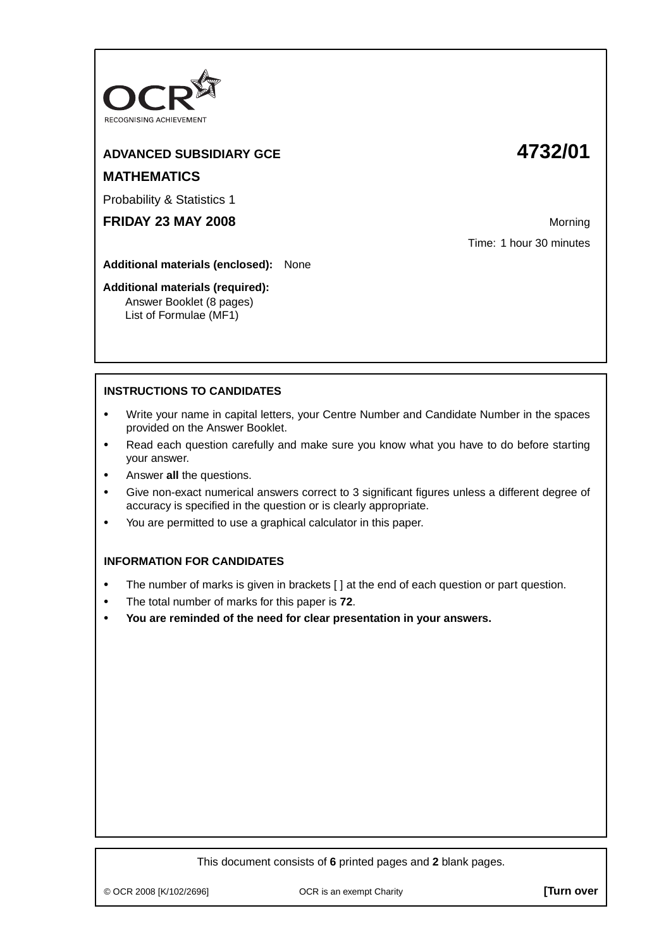

# **ADVANCED SUBSIDIARY GCE 4732/01 MATHEMATICS**

Probability & Statistics 1

## **FRIDAY 23 MAY 2008** Morning Manual Morning Morning Morning

Time: 1 hour 30 minutes

**Additional materials (enclosed):** None

#### **Additional materials (required):**

Answer Booklet (8 pages) List of Formulae (MF1)

## **INSTRUCTIONS TO CANDIDATES**

- **•** Write your name in capital letters, your Centre Number and Candidate Number in the spaces provided on the Answer Booklet.
- **•** Read each question carefully and make sure you know what you have to do before starting your answer.
- **•** Answer **all** the questions.
- **•** Give non-exact numerical answers correct to 3 significant figures unless a different degree of accuracy is specified in the question or is clearly appropriate.
- **•** You are permitted to use a graphical calculator in this paper.

### **INFORMATION FOR CANDIDATES**

- **•** The number of marks is given in brackets [ ] at the end of each question or part question.
- **•** The total number of marks for this paper is **72**.
- **• You are reminded of the need for clear presentation in your answers.**

#### This document consists of **6** printed pages and **2** blank pages.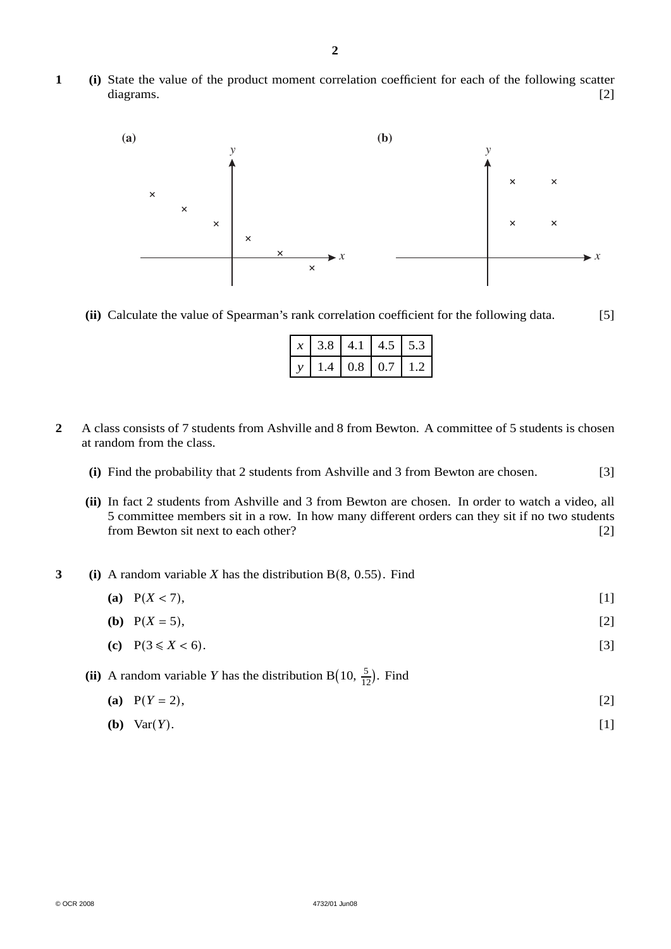**1 (i)** State the value of the product moment correlation coefficient for each of the following scatter diagrams. [2]



**(ii)** Calculate the value of Spearman's rank correlation coefficient for the following data. [5]

| $3.8$ 4.1 |                   | $4.5 \pm 5.3$ |       |
|-----------|-------------------|---------------|-------|
| 1.4       | $0.8 \,   \, 0.7$ |               | L 1 2 |

- **2** A class consists of 7 students from Ashville and 8 from Bewton. A committee of 5 students is chosen at random from the class.
	- **(i)** Find the probability that 2 students from Ashville and 3 from Bewton are chosen. [3]
	- **(ii)** In fact 2 students from Ashville and 3 from Bewton are chosen. In order to watch a video, all 5 committee members sit in a row. In how many different orders can they sit if no two students from Bewton sit next to each other? [2]

#### **3 (i)** A random variable *X* has the distribution B(8, 0.55). Find

| (a) $P(X < 7)$ ,          | $[1]$ |
|---------------------------|-------|
| ( <b>b</b> ) $P(X = 5)$ , | $[2]$ |

**(c)**  $P(3 \le X < 6)$ . [3]

# (ii) A random variable *Y* has the distribution B(10,  $\frac{5}{12}$ ). Find

- **(a)** P(*Y* = 2), [2]
- **(b)** Var(*Y*). [1]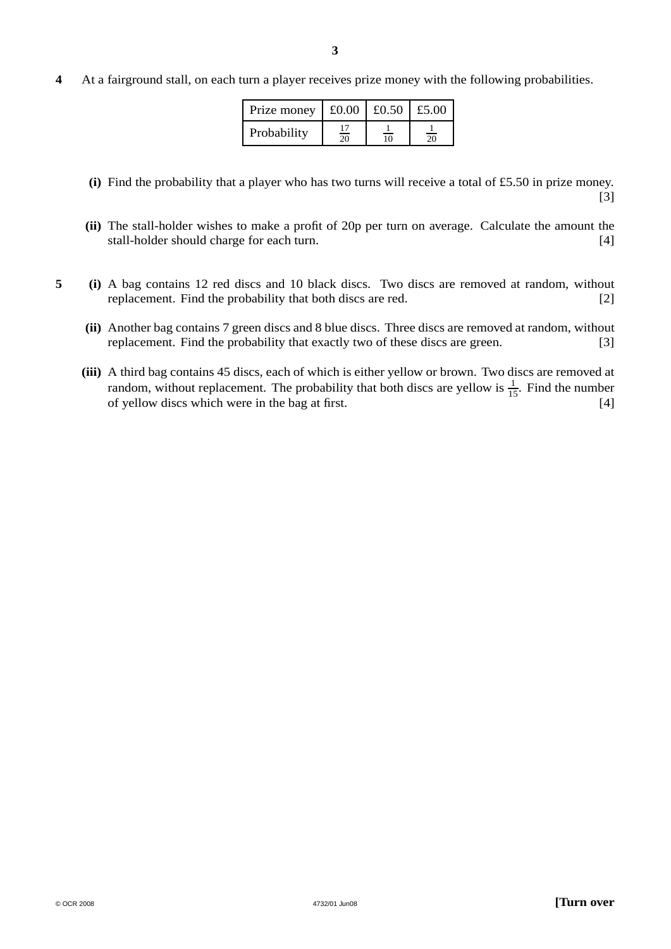**4** At a fairground stall, on each turn a player receives prize money with the following probabilities.

| Prize money |    | £0.00   £0.50   £5.00 |  |  |  |
|-------------|----|-----------------------|--|--|--|
| Probability | 20 |                       |  |  |  |

- **(i)** Find the probability that a player who has two turns will receive a total of £5.50 in prize money. [3]
- **(ii)** The stall-holder wishes to make a profit of 20p per turn on average. Calculate the amount the stall-holder should charge for each turn. [4]
- **5 (i)** A bag contains 12 red discs and 10 black discs. Two discs are removed at random, without replacement. Find the probability that both discs are red. [2]
	- **(ii)** Another bag contains 7 green discs and 8 blue discs. Three discs are removed at random, without replacement. Find the probability that exactly two of these discs are green. [3]
	- **(iii)** A third bag contains 45 discs, each of which is either yellow or brown. Two discs are removed at random, without replacement. The probability that both discs are yellow is  $\frac{1}{15}$ . Find the number of yellow discs which were in the bag at first. [4]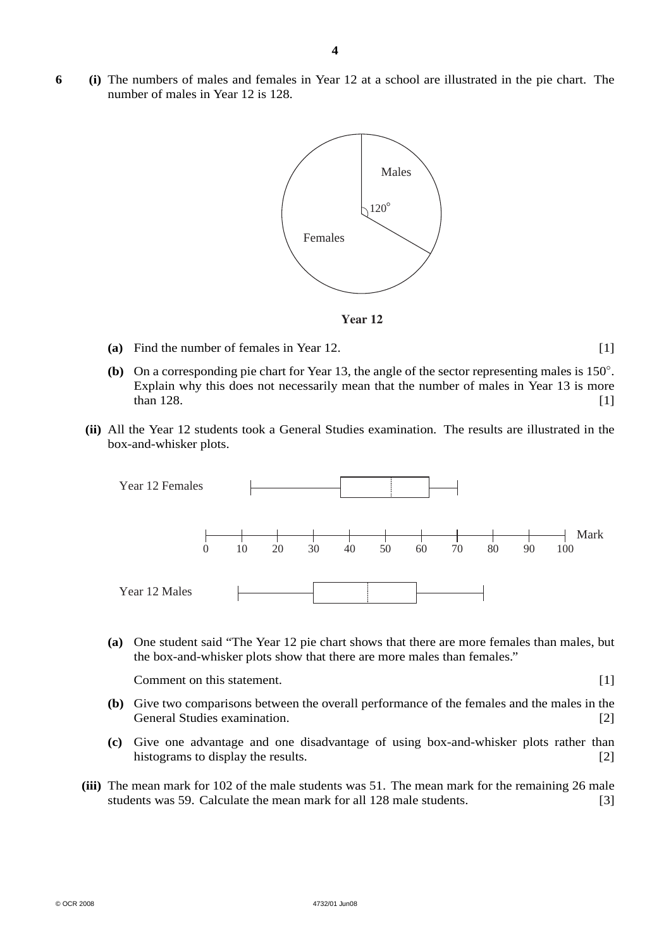**6 (i)** The numbers of males and females in Year 12 at a school are illustrated in the pie chart. The number of males in Year 12 is 128.



**Year 12**

- **(a)** Find the number of females in Year 12. [1]
- **(b)** On a corresponding pie chart for Year 13, the angle of the sector representing males is 150◦ . Explain why this does not necessarily mean that the number of males in Year 13 is more  $\tan 128.$  [1]
- **(ii)** All the Year 12 students took a General Studies examination. The results are illustrated in the box-and-whisker plots.



**(a)** One student said "The Year 12 pie chart shows that there are more females than males, but the box-and-whisker plots show that there are more males than females."

Comment on this statement. [1] [1]

- **(b)** Give two comparisons between the overall performance of the females and the males in the General Studies examination. [2] [2]
- **(c)** Give one advantage and one disadvantage of using box-and-whisker plots rather than histograms to display the results. [2]
- **(iii)** The mean mark for 102 of the male students was 51. The mean mark for the remaining 26 male students was 59. Calculate the mean mark for all 128 male students. [3]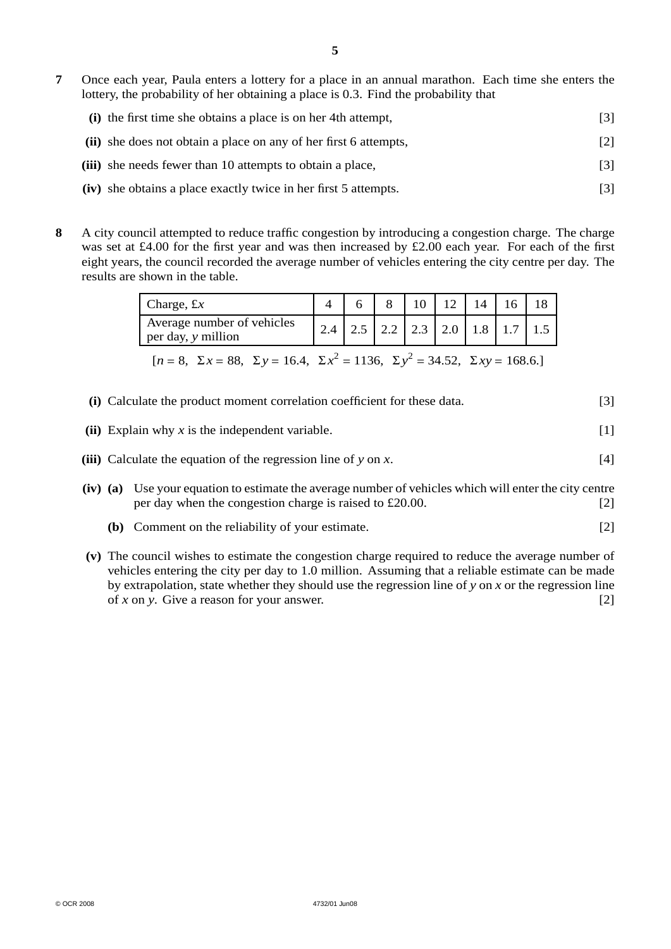- **7** Once each year, Paula enters a lottery for a place in an annual marathon. Each time she enters the lottery, the probability of her obtaining a place is 0.3. Find the probability that
	- **(i)** the first time she obtains a place is on her 4th attempt, [3]
	- **(ii)** she does not obtain a place on any of her first 6 attempts, [2]
	- **(iii)** she needs fewer than 10 attempts to obtain a place, [3]
	- **(iv)** she obtains a place exactly twice in her first 5 attempts. [3]
- **8** A city council attempted to reduce traffic congestion by introducing a congestion charge. The charge was set at £4.00 for the first year and was then increased by £2.00 each year. For each of the first eight years, the council recorded the average number of vehicles entering the city centre per day. The results are shown in the table.

| Charge, $\pounds x$                                                                                 |  |  |  |  | $6 \mid 8 \mid 10 \mid 12 \mid 14 \mid 16 \mid 18$ |  |  |  |
|-----------------------------------------------------------------------------------------------------|--|--|--|--|----------------------------------------------------|--|--|--|
| Average number of vehicles<br>per day, y million                                                    |  |  |  |  | $'$ 2.4   2.5   2.2   2.3   2.0   1.8   1.7   1.5  |  |  |  |
| $[n = 8, \Sigma x = 88, \Sigma y = 16.4, \Sigma x^2 = 1136, \Sigma y^2 = 34.52, \Sigma xy = 168.6.$ |  |  |  |  |                                                    |  |  |  |

- **(i)** Calculate the product moment correlation coefficient for these data. [3]
- **(ii)** Explain why *x* is the independent variable. [1]
- **(iii)** Calculate the equation of the regression line of *y* on *x*. [4]
- **(iv) (a)** Use your equation to estimate the average number of vehicles which will enter the city centre per day when the congestion charge is raised to  $\text{\pounds}20.00$ . [2]
	- **(b)** Comment on the reliability of your estimate. [2]
- **(v)** The council wishes to estimate the congestion charge required to reduce the average number of vehicles entering the city per day to 1.0 million. Assuming that a reliable estimate can be made by extrapolation, state whether they should use the regression line of *y* on *x* or the regression line of *x* on *y*. Give a reason for your answer. [2]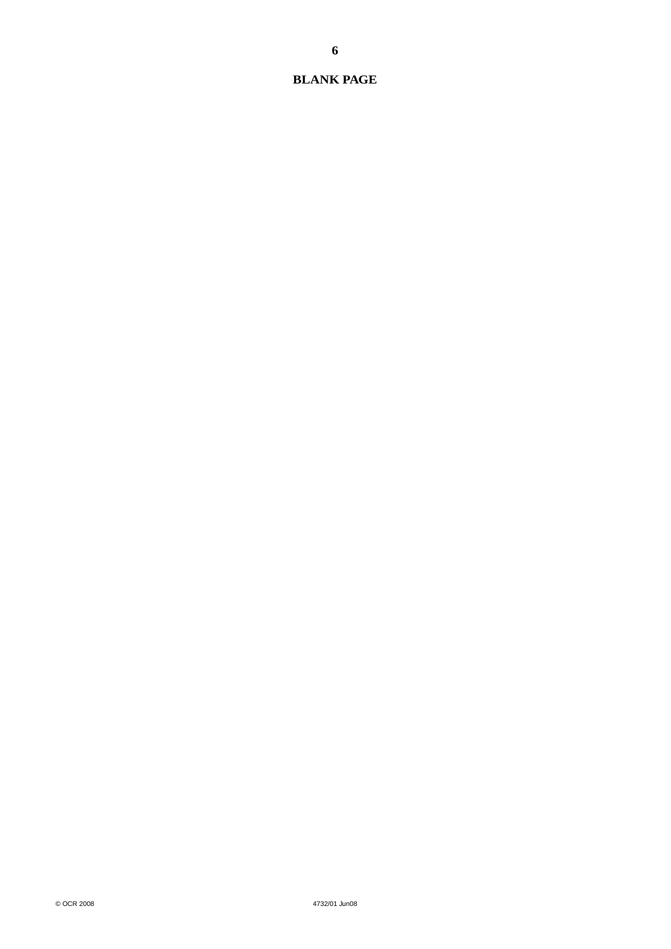#### **BLANK PAGE**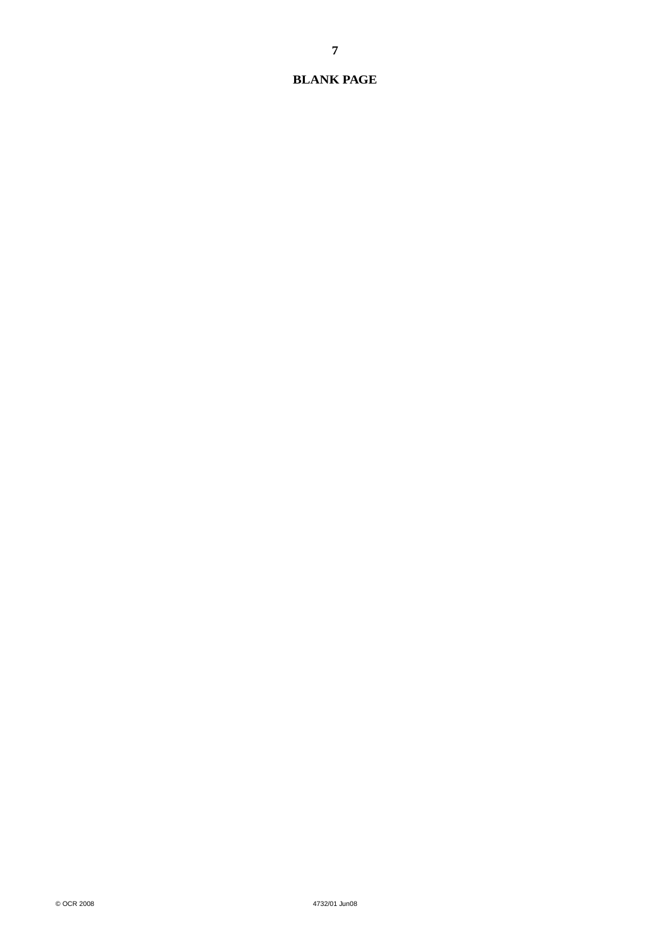#### **BLANK PAGE**